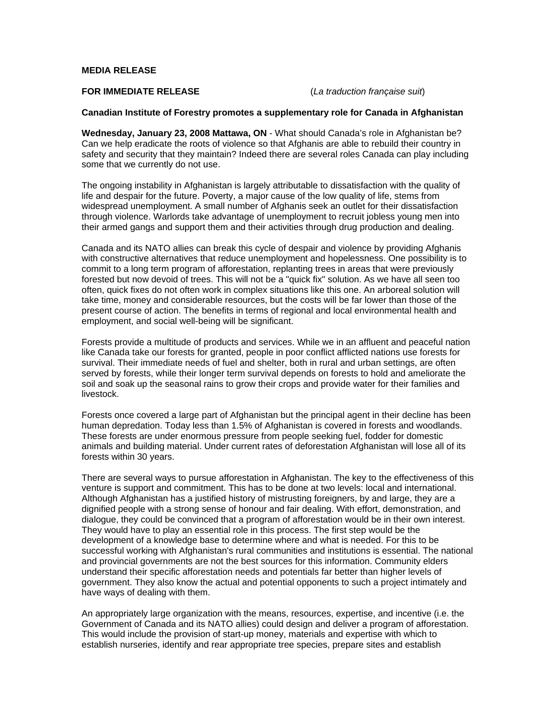## **MEDIA RELEASE**

# **FOR IMMEDIATE RELEASE** (*La traduction française suit*)

#### **Canadian Institute of Forestry promotes a supplementary role for Canada in Afghanistan**

**Wednesday, January 23, 2008 Mattawa, ON** - What should Canada's role in Afghanistan be? Can we help eradicate the roots of violence so that Afghanis are able to rebuild their country in safety and security that they maintain? Indeed there are several roles Canada can play including some that we currently do not use.

The ongoing instability in Afghanistan is largely attributable to dissatisfaction with the quality of life and despair for the future. Poverty, a major cause of the low quality of life, stems from widespread unemployment. A small number of Afghanis seek an outlet for their dissatisfaction through violence. Warlords take advantage of unemployment to recruit jobless young men into their armed gangs and support them and their activities through drug production and dealing.

Canada and its NATO allies can break this cycle of despair and violence by providing Afghanis with constructive alternatives that reduce unemployment and hopelessness. One possibility is to commit to a long term program of afforestation, replanting trees in areas that were previously forested but now devoid of trees. This will not be a "quick fix" solution. As we have all seen too often, quick fixes do not often work in complex situations like this one. An arboreal solution will take time, money and considerable resources, but the costs will be far lower than those of the present course of action. The benefits in terms of regional and local environmental health and employment, and social well-being will be significant.

Forests provide a multitude of products and services. While we in an affluent and peaceful nation like Canada take our forests for granted, people in poor conflict afflicted nations use forests for survival. Their immediate needs of fuel and shelter, both in rural and urban settings, are often served by forests, while their longer term survival depends on forests to hold and ameliorate the soil and soak up the seasonal rains to grow their crops and provide water for their families and livestock.

Forests once covered a large part of Afghanistan but the principal agent in their decline has been human depredation. Today less than 1.5% of Afghanistan is covered in forests and woodlands. These forests are under enormous pressure from people seeking fuel, fodder for domestic animals and building material. Under current rates of deforestation Afghanistan will lose all of its forests within 30 years.

There are several ways to pursue afforestation in Afghanistan. The key to the effectiveness of this venture is support and commitment. This has to be done at two levels: local and international. Although Afghanistan has a justified history of mistrusting foreigners, by and large, they are a dignified people with a strong sense of honour and fair dealing. With effort, demonstration, and dialogue, they could be convinced that a program of afforestation would be in their own interest. They would have to play an essential role in this process. The first step would be the development of a knowledge base to determine where and what is needed. For this to be successful working with Afghanistan's rural communities and institutions is essential. The national and provincial governments are not the best sources for this information. Community elders understand their specific afforestation needs and potentials far better than higher levels of government. They also know the actual and potential opponents to such a project intimately and have ways of dealing with them.

An appropriately large organization with the means, resources, expertise, and incentive (i.e. the Government of Canada and its NATO allies) could design and deliver a program of afforestation. This would include the provision of start-up money, materials and expertise with which to establish nurseries, identify and rear appropriate tree species, prepare sites and establish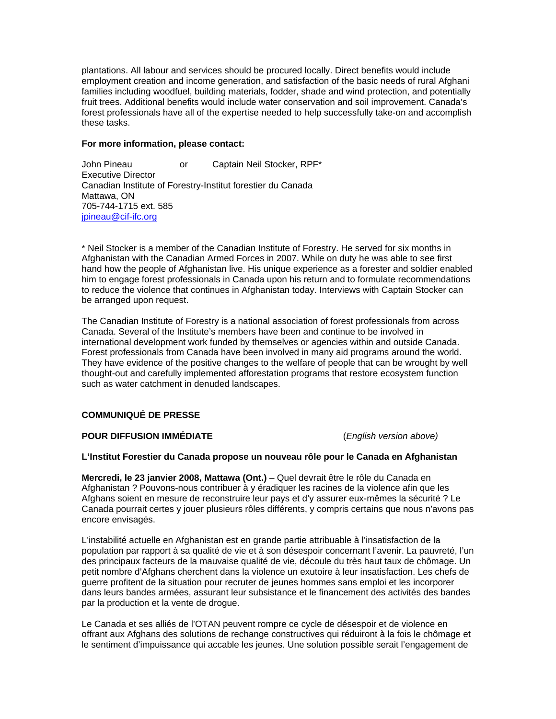plantations. All labour and services should be procured locally. Direct benefits would include employment creation and income generation, and satisfaction of the basic needs of rural Afghani families including woodfuel, building materials, fodder, shade and wind protection, and potentially fruit trees. Additional benefits would include water conservation and soil improvement. Canada's forest professionals have all of the expertise needed to help successfully take-on and accomplish these tasks.

#### **For more information, please contact:**

John Pineau or Captain Neil Stocker, RPF\* Executive Director Canadian Institute of Forestry-Institut forestier du Canada Mattawa, ON 705-744-1715 ext. 585 jpineau@cif-ifc.org

\* Neil Stocker is a member of the Canadian Institute of Forestry. He served for six months in Afghanistan with the Canadian Armed Forces in 2007. While on duty he was able to see first hand how the people of Afghanistan live. His unique experience as a forester and soldier enabled him to engage forest professionals in Canada upon his return and to formulate recommendations to reduce the violence that continues in Afghanistan today. Interviews with Captain Stocker can be arranged upon request.

The Canadian Institute of Forestry is a national association of forest professionals from across Canada. Several of the Institute's members have been and continue to be involved in international development work funded by themselves or agencies within and outside Canada. Forest professionals from Canada have been involved in many aid programs around the world. They have evidence of the positive changes to the welfare of people that can be wrought by well thought-out and carefully implemented afforestation programs that restore ecosystem function such as water catchment in denuded landscapes.

# **COMMUNIQUÉ DE PRESSE**

# **POUR DIFFUSION IMMÉDIATE** (*English version above)*

## **L'Institut Forestier du Canada propose un nouveau rôle pour le Canada en Afghanistan**

**Mercredi, le 23 janvier 2008, Mattawa (Ont.)** – Quel devrait être le rôle du Canada en Afghanistan ? Pouvons-nous contribuer à y éradiquer les racines de la violence afin que les Afghans soient en mesure de reconstruire leur pays et d'y assurer eux-mêmes la sécurité ? Le Canada pourrait certes y jouer plusieurs rôles différents, y compris certains que nous n'avons pas encore envisagés.

L'instabilité actuelle en Afghanistan est en grande partie attribuable à l'insatisfaction de la population par rapport à sa qualité de vie et à son désespoir concernant l'avenir. La pauvreté, l'un des principaux facteurs de la mauvaise qualité de vie, découle du très haut taux de chômage. Un petit nombre d'Afghans cherchent dans la violence un exutoire à leur insatisfaction. Les chefs de guerre profitent de la situation pour recruter de jeunes hommes sans emploi et les incorporer dans leurs bandes armées, assurant leur subsistance et le financement des activités des bandes par la production et la vente de drogue.

Le Canada et ses alliés de l'OTAN peuvent rompre ce cycle de désespoir et de violence en offrant aux Afghans des solutions de rechange constructives qui réduiront à la fois le chômage et le sentiment d'impuissance qui accable les jeunes. Une solution possible serait l'engagement de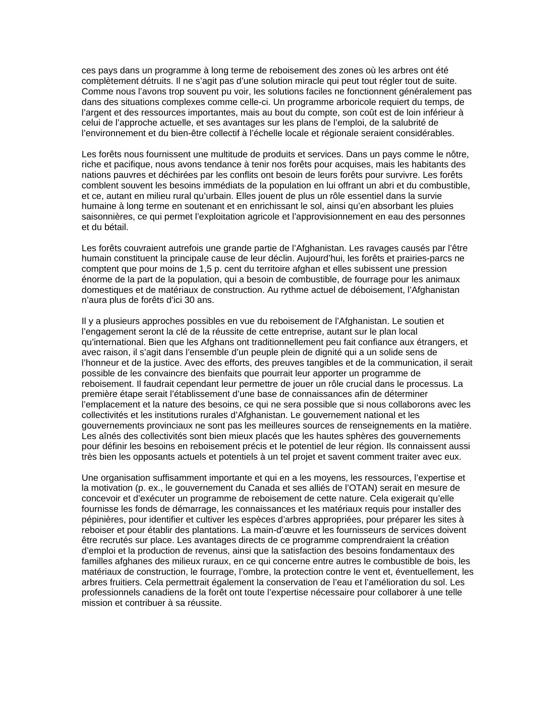ces pays dans un programme à long terme de reboisement des zones où les arbres ont été complètement détruits. Il ne s'agit pas d'une solution miracle qui peut tout régler tout de suite. Comme nous l'avons trop souvent pu voir, les solutions faciles ne fonctionnent généralement pas dans des situations complexes comme celle-ci. Un programme arboricole requiert du temps, de l'argent et des ressources importantes, mais au bout du compte, son coût est de loin inférieur à celui de l'approche actuelle, et ses avantages sur les plans de l'emploi, de la salubrité de l'environnement et du bien-être collectif à l'échelle locale et régionale seraient considérables.

Les forêts nous fournissent une multitude de produits et services. Dans un pays comme le nôtre, riche et pacifique, nous avons tendance à tenir nos forêts pour acquises, mais les habitants des nations pauvres et déchirées par les conflits ont besoin de leurs forêts pour survivre. Les forêts comblent souvent les besoins immédiats de la population en lui offrant un abri et du combustible, et ce, autant en milieu rural qu'urbain. Elles jouent de plus un rôle essentiel dans la survie humaine à long terme en soutenant et en enrichissant le sol, ainsi qu'en absorbant les pluies saisonnières, ce qui permet l'exploitation agricole et l'approvisionnement en eau des personnes et du bétail.

Les forêts couvraient autrefois une grande partie de l'Afghanistan. Les ravages causés par l'être humain constituent la principale cause de leur déclin. Aujourd'hui, les forêts et prairies-parcs ne comptent que pour moins de 1,5 p. cent du territoire afghan et elles subissent une pression énorme de la part de la population, qui a besoin de combustible, de fourrage pour les animaux domestiques et de matériaux de construction. Au rythme actuel de déboisement, l'Afghanistan n'aura plus de forêts d'ici 30 ans.

Il y a plusieurs approches possibles en vue du reboisement de l'Afghanistan. Le soutien et l'engagement seront la clé de la réussite de cette entreprise, autant sur le plan local qu'international. Bien que les Afghans ont traditionnellement peu fait confiance aux étrangers, et avec raison, il s'agit dans l'ensemble d'un peuple plein de dignité qui a un solide sens de l'honneur et de la justice. Avec des efforts, des preuves tangibles et de la communication, il serait possible de les convaincre des bienfaits que pourrait leur apporter un programme de reboisement. Il faudrait cependant leur permettre de jouer un rôle crucial dans le processus. La première étape serait l'établissement d'une base de connaissances afin de déterminer l'emplacement et la nature des besoins, ce qui ne sera possible que si nous collaborons avec les collectivités et les institutions rurales d'Afghanistan. Le gouvernement national et les gouvernements provinciaux ne sont pas les meilleures sources de renseignements en la matière. Les aînés des collectivités sont bien mieux placés que les hautes sphères des gouvernements pour définir les besoins en reboisement précis et le potentiel de leur région. Ils connaissent aussi très bien les opposants actuels et potentiels à un tel projet et savent comment traiter avec eux.

Une organisation suffisamment importante et qui en a les moyens, les ressources, l'expertise et la motivation (p. ex., le gouvernement du Canada et ses alliés de l'OTAN) serait en mesure de concevoir et d'exécuter un programme de reboisement de cette nature. Cela exigerait qu'elle fournisse les fonds de démarrage, les connaissances et les matériaux requis pour installer des pépinières, pour identifier et cultiver les espèces d'arbres appropriées, pour préparer les sites à reboiser et pour établir des plantations. La main-d'œuvre et les fournisseurs de services doivent être recrutés sur place. Les avantages directs de ce programme comprendraient la création d'emploi et la production de revenus, ainsi que la satisfaction des besoins fondamentaux des familles afghanes des milieux ruraux, en ce qui concerne entre autres le combustible de bois, les matériaux de construction, le fourrage, l'ombre, la protection contre le vent et, éventuellement, les arbres fruitiers. Cela permettrait également la conservation de l'eau et l'amélioration du sol. Les professionnels canadiens de la forêt ont toute l'expertise nécessaire pour collaborer à une telle mission et contribuer à sa réussite.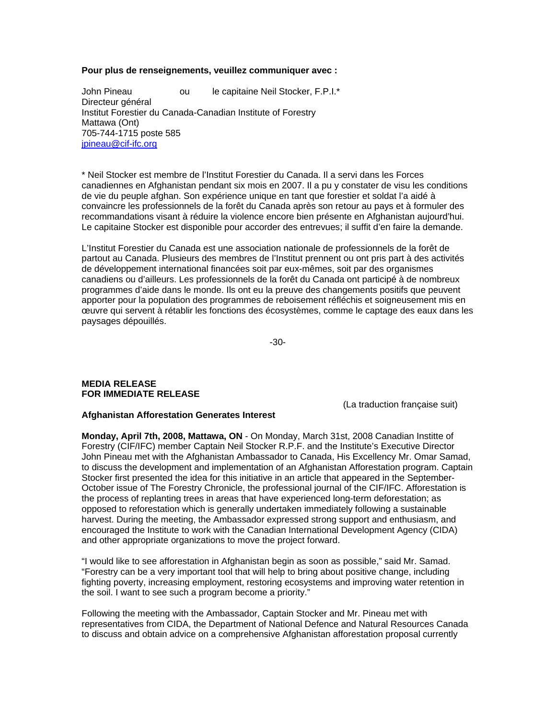#### **Pour plus de renseignements, veuillez communiquer avec :**

John Pineau ou le capitaine Neil Stocker, F.P.I.\* Directeur général Institut Forestier du Canada-Canadian Institute of Forestry Mattawa (Ont) 705-744-1715 poste 585 jpineau@cif-ifc.org

\* Neil Stocker est membre de l'Institut Forestier du Canada. Il a servi dans les Forces canadiennes en Afghanistan pendant six mois en 2007. Il a pu y constater de visu les conditions de vie du peuple afghan. Son expérience unique en tant que forestier et soldat l'a aidé à convaincre les professionnels de la forêt du Canada après son retour au pays et à formuler des recommandations visant à réduire la violence encore bien présente en Afghanistan aujourd'hui. Le capitaine Stocker est disponible pour accorder des entrevues; il suffit d'en faire la demande.

L'Institut Forestier du Canada est une association nationale de professionnels de la forêt de partout au Canada. Plusieurs des membres de l'Institut prennent ou ont pris part à des activités de développement international financées soit par eux-mêmes, soit par des organismes canadiens ou d'ailleurs. Les professionnels de la forêt du Canada ont participé à de nombreux programmes d'aide dans le monde. Ils ont eu la preuve des changements positifs que peuvent apporter pour la population des programmes de reboisement réfléchis et soigneusement mis en œuvre qui servent à rétablir les fonctions des écosystèmes, comme le captage des eaux dans les paysages dépouillés.

-30-

# **MEDIA RELEASE FOR IMMEDIATE RELEASE**

(La traduction française suit)

## **Afghanistan Afforestation Generates Interest**

**Monday, April 7th, 2008, Mattawa, ON** - On Monday, March 31st, 2008 Canadian Institte of Forestry (CIF/IFC) member Captain Neil Stocker R.P.F. and the Institute's Executive Director John Pineau met with the Afghanistan Ambassador to Canada, His Excellency Mr. Omar Samad, to discuss the development and implementation of an Afghanistan Afforestation program. Captain Stocker first presented the idea for this initiative in an article that appeared in the September-October issue of The Forestry Chronicle, the professional journal of the CIF/IFC. Afforestation is the process of replanting trees in areas that have experienced long-term deforestation; as opposed to reforestation which is generally undertaken immediately following a sustainable harvest. During the meeting, the Ambassador expressed strong support and enthusiasm, and encouraged the Institute to work with the Canadian International Development Agency (CIDA) and other appropriate organizations to move the project forward.

"I would like to see afforestation in Afghanistan begin as soon as possible," said Mr. Samad. "Forestry can be a very important tool that will help to bring about positive change, including fighting poverty, increasing employment, restoring ecosystems and improving water retention in the soil. I want to see such a program become a priority."

Following the meeting with the Ambassador, Captain Stocker and Mr. Pineau met with representatives from CIDA, the Department of National Defence and Natural Resources Canada to discuss and obtain advice on a comprehensive Afghanistan afforestation proposal currently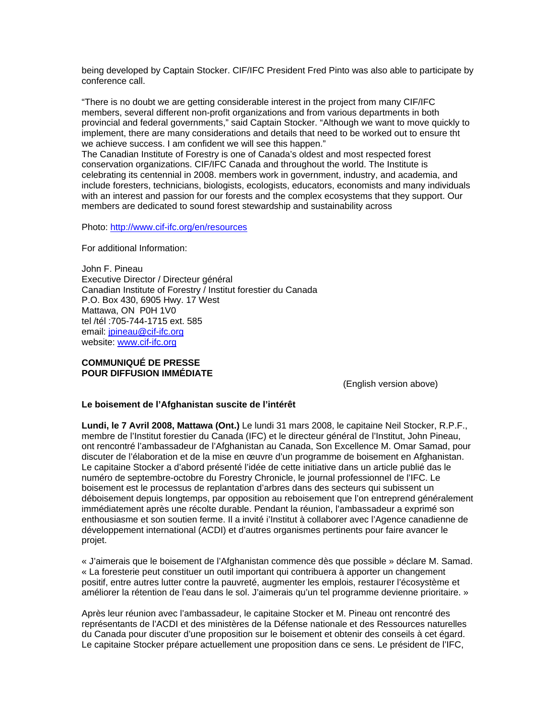being developed by Captain Stocker. CIF/IFC President Fred Pinto was also able to participate by conference call.

"There is no doubt we are getting considerable interest in the project from many CIF/IFC members, several different non-profit organizations and from various departments in both provincial and federal governments," said Captain Stocker. "Although we want to move quickly to implement, there are many considerations and details that need to be worked out to ensure tht we achieve success. I am confident we will see this happen."

The Canadian Institute of Forestry is one of Canada's oldest and most respected forest conservation organizations. CIF/IFC Canada and throughout the world. The Institute is celebrating its centennial in 2008. members work in government, industry, and academia, and include foresters, technicians, biologists, ecologists, educators, economists and many individuals with an interest and passion for our forests and the complex ecosystems that they support. Our members are dedicated to sound forest stewardship and sustainability across

Photo: http://www.cif-ifc.org/en/resources

For additional Information:

John F. Pineau Executive Director / Directeur général Canadian Institute of Forestry / Institut forestier du Canada P.O. Box 430, 6905 Hwy. 17 West Mattawa, ON P0H 1V0 tel /tél :705-744-1715 ext. 585 email: jpineau@cif-ifc.org website: www.cif-ifc.org

#### **COMMUNIQUÉ DE PRESSE POUR DIFFUSION IMMÉDIATE**

(English version above)

## **Le boisement de l'Afghanistan suscite de l'intérêt**

**Lundi, le 7 Avril 2008, Mattawa (Ont.)** Le lundi 31 mars 2008, le capitaine Neil Stocker, R.P.F., membre de l'Institut forestier du Canada (IFC) et le directeur général de l'Institut, John Pineau, ont rencontré l'ambassadeur de l'Afghanistan au Canada, Son Excellence M. Omar Samad, pour discuter de l'élaboration et de la mise en œuvre d'un programme de boisement en Afghanistan. Le capitaine Stocker a d'abord présenté l'idée de cette initiative dans un article publié das le numéro de septembre-octobre du Forestry Chronicle, le journal professionnel de l'IFC. Le boisement est le processus de replantation d'arbres dans des secteurs qui subissent un déboisement depuis longtemps, par opposition au reboisement que l'on entreprend généralement immédiatement après une récolte durable. Pendant la réunion, l'ambassadeur a exprimé son enthousiasme et son soutien ferme. Il a invité i'Institut à collaborer avec l'Agence canadienne de développement international (ACDI) et d'autres organismes pertinents pour faire avancer le projet.

« J'aimerais que le boisement de l'Afghanistan commence dès que possible » déclare M. Samad. « La foresterie peut constituer un outil important qui contribuera à apporter un changement positif, entre autres lutter contre la pauvreté, augmenter les emplois, restaurer l'écosystème et améliorer la rétention de l'eau dans le sol. J'aimerais qu'un tel programme devienne prioritaire. »

Après leur réunion avec l'ambassadeur, le capitaine Stocker et M. Pineau ont rencontré des représentants de l'ACDI et des ministères de la Défense nationale et des Ressources naturelles du Canada pour discuter d'une proposition sur le boisement et obtenir des conseils à cet égard. Le capitaine Stocker prépare actuellement une proposition dans ce sens. Le président de l'IFC,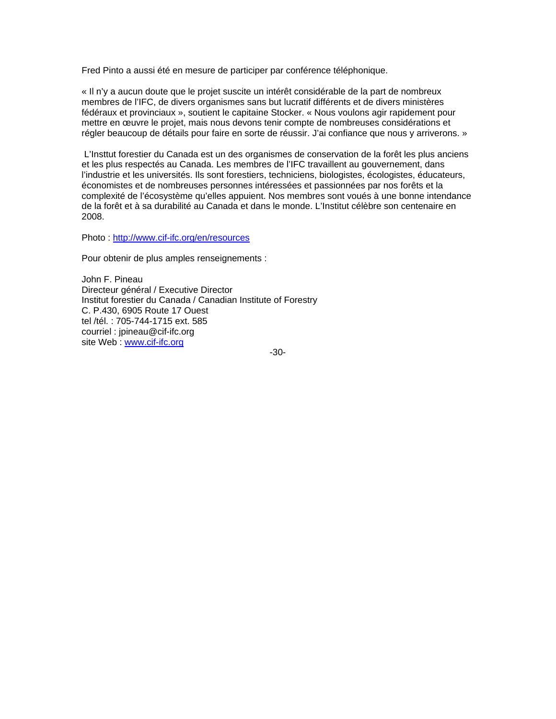Fred Pinto a aussi été en mesure de participer par conférence téléphonique.

« Il n'y a aucun doute que le projet suscite un intérêt considérable de la part de nombreux membres de l'IFC, de divers organismes sans but lucratif différents et de divers ministères fédéraux et provinciaux », soutient le capitaine Stocker. « Nous voulons agir rapidement pour mettre en œuvre le projet, mais nous devons tenir compte de nombreuses considérations et régler beaucoup de détails pour faire en sorte de réussir. J'ai confiance que nous y arriverons. »

 L'Insttut forestier du Canada est un des organismes de conservation de la forêt les plus anciens et les plus respectés au Canada. Les membres de l'IFC travaillent au gouvernement, dans l'industrie et les universités. Ils sont forestiers, techniciens, biologistes, écologistes, éducateurs, économistes et de nombreuses personnes intéressées et passionnées par nos forêts et la complexité de l'écosystème qu'elles appuient. Nos membres sont voués à une bonne intendance de la forêt et à sa durabilité au Canada et dans le monde. L'Institut célèbre son centenaire en 2008.

Photo : http://www.cif-ifc.org/en/resources

Pour obtenir de plus amples renseignements :

John F. Pineau Directeur général / Executive Director Institut forestier du Canada / Canadian Institute of Forestry C. P.430, 6905 Route 17 Ouest tel /tél. : 705-744-1715 ext. 585 courriel : jpineau@cif-ifc.org site Web : www.cif-ifc.org

-30-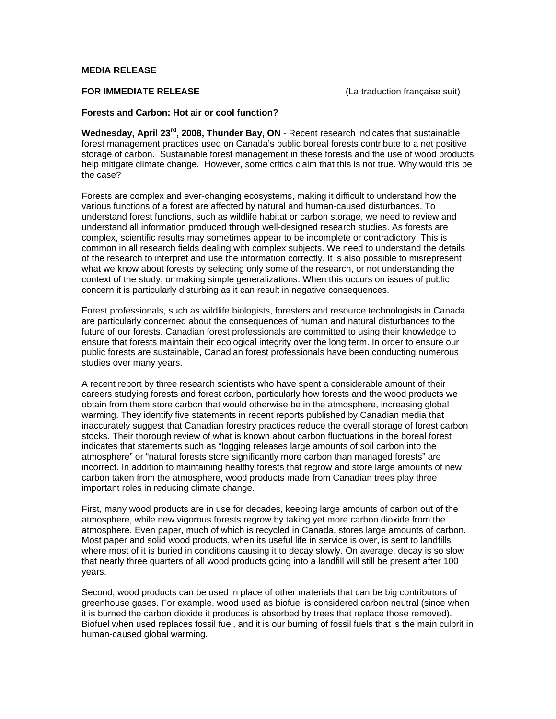## **MEDIA RELEASE**

**FOR IMMEDIATE RELEASE** (La traduction française suit)

#### **Forests and Carbon: Hot air or cool function?**

**Wednesday, April 23rd, 2008, Thunder Bay, ON** - Recent research indicates that sustainable forest management practices used on Canada's public boreal forests contribute to a net positive storage of carbon. Sustainable forest management in these forests and the use of wood products help mitigate climate change. However, some critics claim that this is not true. Why would this be the case?

Forests are complex and ever-changing ecosystems, making it difficult to understand how the various functions of a forest are affected by natural and human-caused disturbances. To understand forest functions, such as wildlife habitat or carbon storage, we need to review and understand all information produced through well-designed research studies. As forests are complex, scientific results may sometimes appear to be incomplete or contradictory. This is common in all research fields dealing with complex subjects. We need to understand the details of the research to interpret and use the information correctly. It is also possible to misrepresent what we know about forests by selecting only some of the research, or not understanding the context of the study, or making simple generalizations. When this occurs on issues of public concern it is particularly disturbing as it can result in negative consequences.

Forest professionals, such as wildlife biologists, foresters and resource technologists in Canada are particularly concerned about the consequences of human and natural disturbances to the future of our forests. Canadian forest professionals are committed to using their knowledge to ensure that forests maintain their ecological integrity over the long term. In order to ensure our public forests are sustainable, Canadian forest professionals have been conducting numerous studies over many years.

A recent report by three research scientists who have spent a considerable amount of their careers studying forests and forest carbon, particularly how forests and the wood products we obtain from them store carbon that would otherwise be in the atmosphere, increasing global warming. They identify five statements in recent reports published by Canadian media that inaccurately suggest that Canadian forestry practices reduce the overall storage of forest carbon stocks. Their thorough review of what is known about carbon fluctuations in the boreal forest indicates that statements such as "logging releases large amounts of soil carbon into the atmosphere" or "natural forests store significantly more carbon than managed forests" are incorrect. In addition to maintaining healthy forests that regrow and store large amounts of new carbon taken from the atmosphere, wood products made from Canadian trees play three important roles in reducing climate change.

First, many wood products are in use for decades, keeping large amounts of carbon out of the atmosphere, while new vigorous forests regrow by taking yet more carbon dioxide from the atmosphere. Even paper, much of which is recycled in Canada, stores large amounts of carbon. Most paper and solid wood products, when its useful life in service is over, is sent to landfills where most of it is buried in conditions causing it to decay slowly. On average, decay is so slow that nearly three quarters of all wood products going into a landfill will still be present after 100 years.

Second, wood products can be used in place of other materials that can be big contributors of greenhouse gases. For example, wood used as biofuel is considered carbon neutral (since when it is burned the carbon dioxide it produces is absorbed by trees that replace those removed). Biofuel when used replaces fossil fuel, and it is our burning of fossil fuels that is the main culprit in human-caused global warming.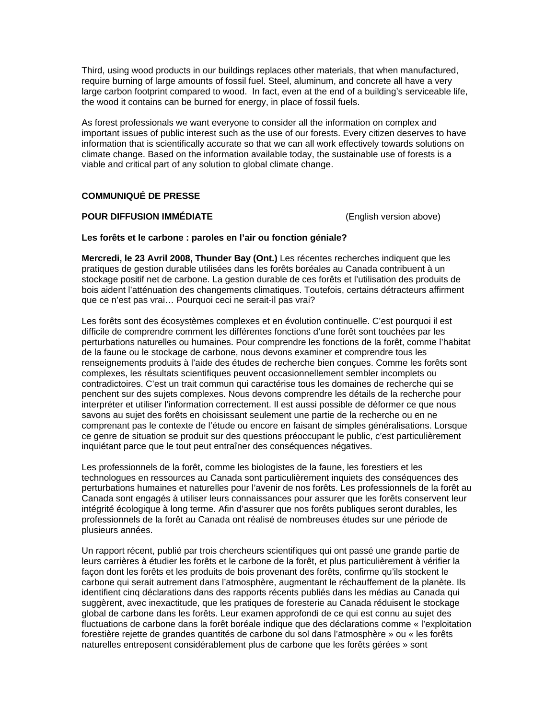Third, using wood products in our buildings replaces other materials, that when manufactured, require burning of large amounts of fossil fuel. Steel, aluminum, and concrete all have a very large carbon footprint compared to wood. In fact, even at the end of a building's serviceable life, the wood it contains can be burned for energy, in place of fossil fuels.

As forest professionals we want everyone to consider all the information on complex and important issues of public interest such as the use of our forests. Every citizen deserves to have information that is scientifically accurate so that we can all work effectively towards solutions on climate change. Based on the information available today, the sustainable use of forests is a viable and critical part of any solution to global climate change.

# **COMMUNIQUÉ DE PRESSE**

## **POUR DIFFUSION IMMÉDIATE** (English version above)

#### **Les forêts et le carbone : paroles en l'air ou fonction géniale?**

**Mercredi, le 23 Avril 2008, Thunder Bay (Ont.)** Les récentes recherches indiquent que les pratiques de gestion durable utilisées dans les forêts boréales au Canada contribuent à un stockage positif net de carbone. La gestion durable de ces forêts et l'utilisation des produits de bois aident l'atténuation des changements climatiques. Toutefois, certains détracteurs affirment que ce n'est pas vrai… Pourquoi ceci ne serait-il pas vrai?

Les forêts sont des écosystèmes complexes et en évolution continuelle. C'est pourquoi il est difficile de comprendre comment les différentes fonctions d'une forêt sont touchées par les perturbations naturelles ou humaines. Pour comprendre les fonctions de la forêt, comme l'habitat de la faune ou le stockage de carbone, nous devons examiner et comprendre tous les renseignements produits à l'aide des études de recherche bien conçues. Comme les forêts sont complexes, les résultats scientifiques peuvent occasionnellement sembler incomplets ou contradictoires. C'est un trait commun qui caractérise tous les domaines de recherche qui se penchent sur des sujets complexes. Nous devons comprendre les détails de la recherche pour interpréter et utiliser l'information correctement. Il est aussi possible de déformer ce que nous savons au sujet des forêts en choisissant seulement une partie de la recherche ou en ne comprenant pas le contexte de l'étude ou encore en faisant de simples généralisations. Lorsque ce genre de situation se produit sur des questions préoccupant le public, c'est particulièrement inquiétant parce que le tout peut entraîner des conséquences négatives.

Les professionnels de la forêt, comme les biologistes de la faune, les forestiers et les technologues en ressources au Canada sont particulièrement inquiets des conséquences des perturbations humaines et naturelles pour l'avenir de nos forêts. Les professionnels de la forêt au Canada sont engagés à utiliser leurs connaissances pour assurer que les forêts conservent leur intégrité écologique à long terme. Afin d'assurer que nos forêts publiques seront durables, les professionnels de la forêt au Canada ont réalisé de nombreuses études sur une période de plusieurs années.

Un rapport récent, publié par trois chercheurs scientifiques qui ont passé une grande partie de leurs carrières à étudier les forêts et le carbone de la forêt, et plus particulièrement à vérifier la façon dont les forêts et les produits de bois provenant des forêts, confirme qu'ils stockent le carbone qui serait autrement dans l'atmosphère, augmentant le réchauffement de la planète. Ils identifient cinq déclarations dans des rapports récents publiés dans les médias au Canada qui suggèrent, avec inexactitude, que les pratiques de foresterie au Canada réduisent le stockage global de carbone dans les forêts. Leur examen approfondi de ce qui est connu au sujet des fluctuations de carbone dans la forêt boréale indique que des déclarations comme « l'exploitation forestière rejette de grandes quantités de carbone du sol dans l'atmosphère » ou « les forêts naturelles entreposent considérablement plus de carbone que les forêts gérées » sont